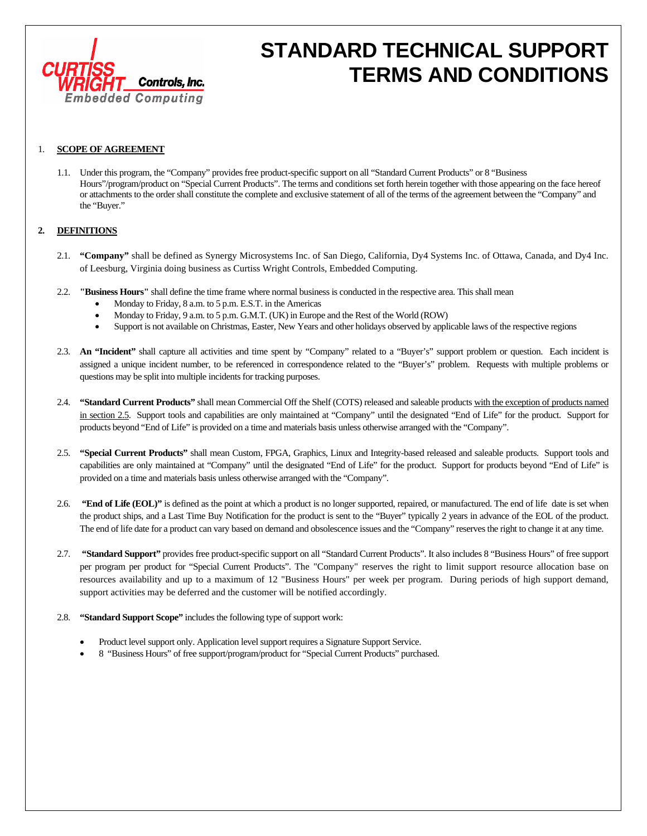

# **STANDARD TECHNICAL SUPPORT TERMS AND CONDITIONS**

#### 1. **SCOPE OF AGREEMENT**

1.1. Under this program, the "Company" provides free product-specific support on all "Standard Current Products" or 8 "Business Hours"/program/product on "Special Current Products". The terms and conditions set forth herein together with those appearing on the face hereof or attachments to the order shall constitute the complete and exclusive statement of all of the terms of the agreement between the "Company" and the "Buyer."

### **2. DEFINITIONS**

- 2.1. **"Company"** shall be defined as Synergy Microsystems Inc. of San Diego, California, Dy4 Systems Inc. of Ottawa, Canada, and Dy4 Inc. of Leesburg, Virginia doing business as Curtiss Wright Controls, Embedded Computing.
- 2.2. **"Business Hours"** shall define the time frame where normal business is conducted in the respective area. This shall mean
	- Monday to Friday, 8 a.m. to 5 p.m. E.S.T. in the Americas
	- Monday to Friday, 9 a.m. to 5 p.m. G.M.T. (UK) in Europe and the Rest of the World (ROW)
	- Support is not available on Christmas, Easter, New Years and other holidays observed by applicable laws of the respective regions
- 2.3. **An "Incident"** shall capture all activities and time spent by "Company" related to a "Buyer's" support problem or question. Each incident is assigned a unique incident number, to be referenced in correspondence related to the "Buyer's" problem. Requests with multiple problems or questions may be split into multiple incidents for tracking purposes.
- 2.4. **"Standard Current Products"** shall mean Commercial Off the Shelf (COTS) released and saleable products with the exception of products named in section 2.5. Support tools and capabilities are only maintained at "Company" until the designated "End of Life" for the product. Support for products beyond "End of Life" is provided on a time and materials basis unless otherwise arranged with the "Company".
- 2.5. **"Special Current Products"** shall mean Custom, FPGA, Graphics, Linux and Integrity-based released and saleable products. Support tools and capabilities are only maintained at "Company" until the designated "End of Life" for the product. Support for products beyond "End of Life" is provided on a time and materials basis unless otherwise arranged with the "Company".
- 2.6. **"End of Life (EOL)"** is defined as the point at which a product is no longer supported, repaired, or manufactured. The end of life date is set when the product ships, and a Last Time Buy Notification for the product is sent to the "Buyer" typically 2 years in advance of the EOL of the product. The end of life date for a product can vary based on demand and obsolescence issues and the "Company" reserves the right to change it at any time.
- 2.7. **"Standard Support"** provides free product-specific support on all "Standard Current Products". It also includes 8 "Business Hours" of free support per program per product for "Special Current Products". The "Company" reserves the right to limit support resource allocation base on resources availability and up to a maximum of 12 "Business Hours" per week per program. During periods of high support demand, support activities may be deferred and the customer will be notified accordingly.
- 2.8. **"Standard Support Scope"** includes the following type of support work:
	- Product level support only. Application level support requires a Signature Support Service.
	- 8 "Business Hours" of free support/program/product for "Special Current Products" purchased.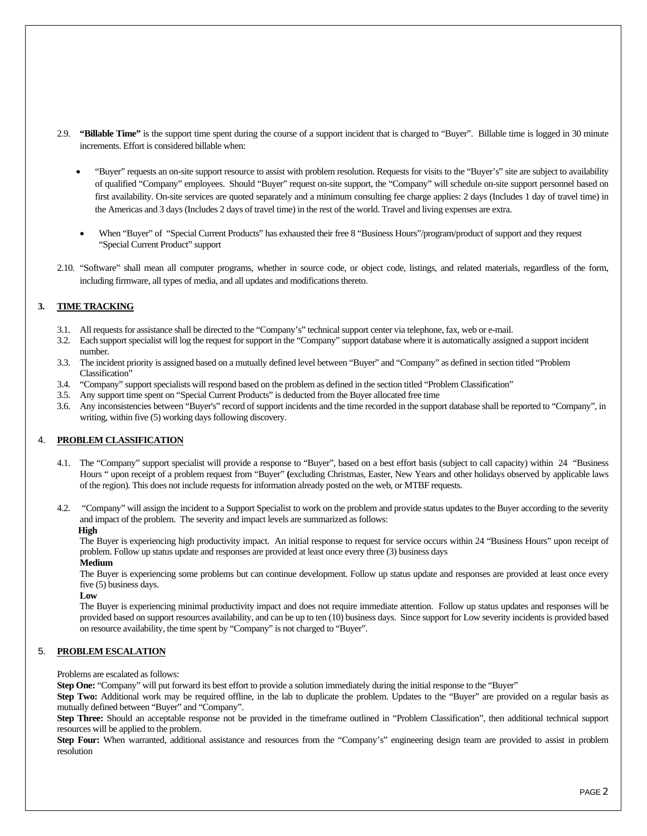- 2.9. **"Billable Time"** is the support time spent during the course of a support incident that is charged to "Buyer". Billable time is logged in 30 minute increments. Effort is considered billable when:
	- "Buyer" requests an on-site support resource to assist with problem resolution. Requests for visits to the "Buyer's" site are subject to availability of qualified "Company" employees. Should "Buyer" request on-site support, the "Company" will schedule on-site support personnel based on first availability. On-site services are quoted separately and a minimum consulting fee charge applies: 2 days (Includes 1 day of travel time) in the Americas and 3 days (Includes 2 days of travel time) in the rest of the world. Travel and living expenses are extra.
	- When "Buyer" of "Special Current Products" has exhausted their free 8 "Business Hours"/program/product of support and they request "Special Current Product" support
- 2.10. "Software" shall mean all computer programs, whether in source code, or object code, listings, and related materials, regardless of the form, including firmware, all types of media, and all updates and modifications thereto.

### **3. TIME TRACKING**

- 3.1. All requests for assistance shall be directed to the "Company's" technical support center via telephone, fax, web or e-mail.
- 3.2. Each support specialist will log the request for support in the "Company" support database where it is automatically assigned a support incident number.
- 3.3. The incident priority is assigned based on a mutually defined level between "Buyer" and "Company" as defined in section titled "Problem Classification"
- 3.4. "Company" support specialists will respond based on the problem as defined in the section titled "Problem Classification"
- 3.5. Any support time spent on "Special Current Products" is deducted from the Buyer allocated free time
- 3.6. Any inconsistencies between "Buyer's" record of support incidents and the time recorded in the support database shall be reported to "Company", in writing, within five (5) working days following discovery.

#### 4. **PROBLEM CLASSIFICATION**

- 4.1. The "Company" support specialist will provide a response to "Buyer", based on a best effort basis (subject to call capacity) within 24 "Business Hours " upon receipt of a problem request from "Buyer" **(**excluding Christmas, Easter, New Years and other holidays observed by applicable laws of the region). This does not include requests for information already posted on the web, or MTBF requests.
- 4.2. "Company" will assign the incident to a Support Specialist to work on the problem and provide status updates to the Buyer according to the severity and impact of the problem. The severity and impact levels are summarized as follows:

#### **High**

The Buyer is experiencing high productivity impact. An initial response to request for service occurs within 24 "Business Hours" upon receipt of problem. Follow up status update and responses are provided at least once every three (3) business days

#### **Medium**

The Buyer is experiencing some problems but can continue development. Follow up status update and responses are provided at least once every five (5) business days.

**Low** 

The Buyer is experiencing minimal productivity impact and does not require immediate attention. Follow up status updates and responses will be provided based on support resources availability, and can be up to ten (10) business days. Since support for Low severity incidents is provided based on resource availability, the time spent by "Company" is not charged to "Buyer".

#### 5. **PROBLEM ESCALATION**

Problems are escalated as follows:

**Step One:** "Company" will put forward its best effort to provide a solution immediately during the initial response to the "Buyer"

**Step Two:** Additional work may be required offline, in the lab to duplicate the problem. Updates to the "Buyer" are provided on a regular basis as mutually defined between "Buyer" and "Company".

**Step Three:** Should an acceptable response not be provided in the timeframe outlined in "Problem Classification", then additional technical support resources will be applied to the problem.

Step Four: When warranted, additional assistance and resources from the "Company's" engineering design team are provided to assist in problem resolution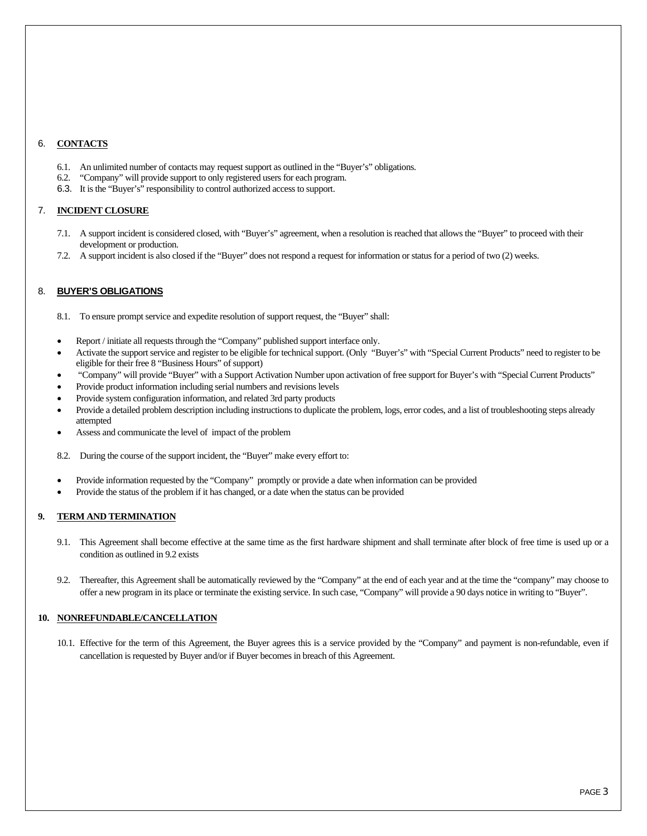## 6. **CONTACTS**

- 6.1. An unlimited number of contacts may request support as outlined in the "Buyer's" obligations.
- 6.2. "Company" will provide support to only registered users for each program.
- 6.3. It is the "Buyer's" responsibility to control authorized access to support.

#### 7. **INCIDENT CLOSURE**

- 7.1. A support incident is considered closed, with "Buyer's" agreement, when a resolution is reached that allows the "Buyer" to proceed with their development or production.
- 7.2. A support incident is also closed if the "Buyer" does not respond a request for information or status for a period of two (2) weeks.

## 8. **BUYER'S OBLIGATIONS**

- 8.1. To ensure prompt service and expedite resolution of support request, the "Buyer" shall:
- Report / initiate all requests through the "Company" published support interface only.
- Activate the support service and register to be eligible for technical support. (Only "Buyer's" with "Special Current Products" need to register to be eligible for their free 8 "Business Hours" of support)
- "Company" will provide "Buyer" with a Support Activation Number upon activation of free support for Buyer's with "Special Current Products"
- Provide product information including serial numbers and revisions levels
- Provide system configuration information, and related 3rd party products
- Provide a detailed problem description including instructions to duplicate the problem, logs, error codes, and a list of troubleshooting steps already attempted
- Assess and communicate the level of impact of the problem
- 8.2. During the course of the support incident, the "Buyer" make every effort to:
- Provide information requested by the "Company" promptly or provide a date when information can be provided
- Provide the status of the problem if it has changed, or a date when the status can be provided

#### **9. TERM AND TERMINATION**

- 9.1. This Agreement shall become effective at the same time as the first hardware shipment and shall terminate after block of free time is used up or a condition as outlined in 9.2 exists
- 9.2. Thereafter, this Agreement shall be automatically reviewed by the "Company" at the end of each year and at the time the "company" may choose to offer a new program in its place or terminate the existing service. In such case, "Company" will provide a 90 days notice in writing to "Buyer".

#### **10. NONREFUNDABLE/CANCELLATION**

10.1. Effective for the term of this Agreement, the Buyer agrees this is a service provided by the "Company" and payment is non-refundable, even if cancellation is requested by Buyer and/or if Buyer becomes in breach of this Agreement.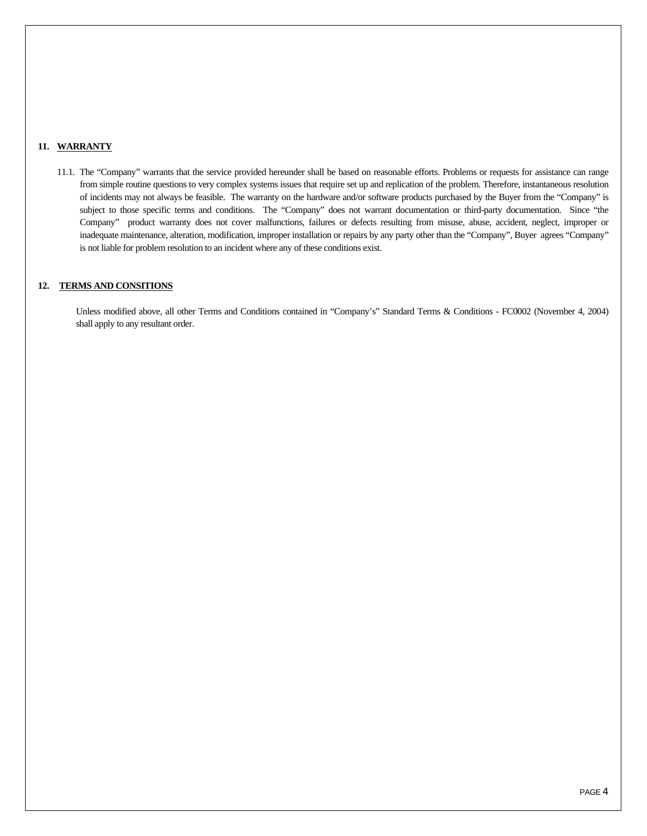## **11. WARRANTY**

11.1. The "Company" warrants that the service provided hereunder shall be based on reasonable efforts. Problems or requests for assistance can range from simple routine questions to very complex systems issues that require set up and replication of the problem. Therefore, instantaneous resolution of incidents may not always be feasible. The warranty on the hardware and/or software products purchased by the Buyer from the "Company" is subject to those specific terms and conditions. The "Company" does not warrant documentation or third-party documentation. Since "the Company" product warranty does not cover malfunctions, failures or defects resulting from misuse, abuse, accident, neglect, improper or inadequate maintenance, alteration, modification, improper installation or repairs by any party other than the "Company", Buyer agrees "Company" is not liable for problem resolution to an incident where any of these conditions exist.

# **12. TERMS AND CONSITIONS**

Unless modified above, all other Terms and Conditions contained in "Company's" Standard Terms & Conditions - FC0002 (November 4, 2004) shall apply to any resultant order.